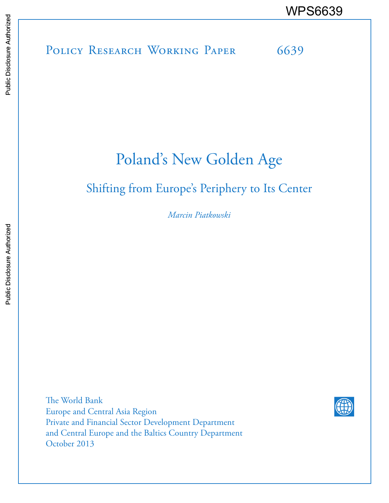POLICY RESEARCH WORKING PAPER 6639 WPS6639

# Poland's New Golden Age

### Shifting from Europe's Periphery to Its Center

*Marcin Piatkowski* 

The World Bank Europe and Central Asia Region Private and Financial Sector Development Department and Central Europe and the Baltics Country Department October 2013

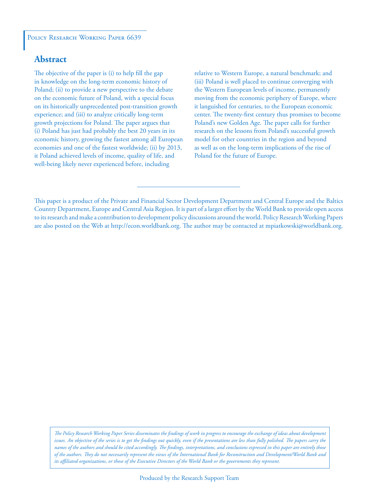#### POLICY RESEARCH WORKING PAPER 6639

#### **Abstract**

The objective of the paper is (i) to help fill the gap in knowledge on the long-term economic history of Poland; (ii) to provide a new perspective to the debate on the economic future of Poland, with a special focus on its historically unprecedented post-transition growth experience; and (iii) to analyze critically long-term growth projections for Poland. The paper argues that (i) Poland has just had probably the best 20 years in its economic history, growing the fastest among all European economies and one of the fastest worldwide; (ii) by 2013, it Poland achieved levels of income, quality of life, and well-being likely never experienced before, including

relative to Western Europe, a natural benchmark; and (iii) Poland is well placed to continue converging with the Western European levels of income, permanently moving from the economic periphery of Europe, where it languished for centuries, to the European economic center. The twenty-first century thus promises to become Poland's new Golden Age. The paper calls for further research on the lessons from Poland's successful growth model for other countries in the region and beyond as well as on the long-term implications of the rise of Poland for the future of Europe.

*The Policy Research Working Paper Series disseminates the findings of work in progress to encourage the exchange of ideas about development*  issues. An objective of the series is to get the findings out quickly, even if the presentations are less than fully polished. The papers carry the *names of the authors and should be cited accordingly. The findings, interpretations, and conclusions expressed in this paper are entirely those of the authors. They do not necessarily represent the views of the International Bank for Reconstruction and Development/World Bank and its affiliated organizations, or those of the Executive Directors of the World Bank or the governments they represent.*

This paper is a product of the Private and Financial Sector Development Department and Central Europe and the Baltics Country Department, Europe and Central Asia Region. It is part of a larger effort by the World Bank to provide open access to its research and make a contribution to development policy discussions around the world. Policy Research Working Papers are also posted on the Web at http://econ.worldbank.org. The author may be contacted at mpiatkowski@worldbank.org.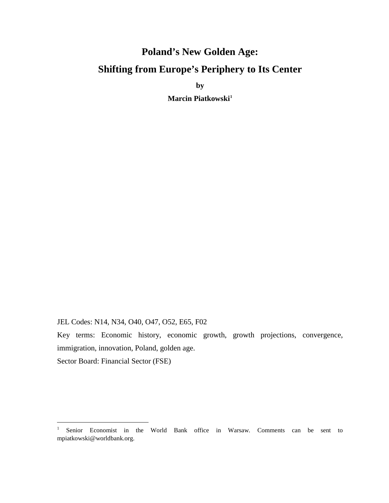## **Poland's New Golden Age: Shifting from Europe's Periphery to Its Center**

**by** 

**Marcin Piatkowsk[i1](#page-2-0)**

JEL Codes: N14, N34, O40, O47, O52, E65, F02

Key terms: Economic history, economic growth, growth projections, convergence, immigration, innovation, Poland, golden age.

Sector Board: Financial Sector (FSE)

<span id="page-2-0"></span><sup>&</sup>lt;sup>1</sup> Senior Economist in the World Bank office in Warsaw. Comments can be sent to mpiatkowski@worldbank.org.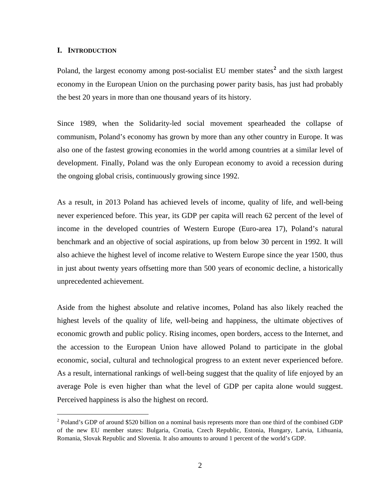#### **I. INTRODUCTION**

 $\overline{a}$ 

Poland, the largest economy among post-socialist EU member states<sup>[2](#page-3-0)</sup> and the sixth largest economy in the European Union on the purchasing power parity basis, has just had probably the best 20 years in more than one thousand years of its history.

Since 1989, when the Solidarity-led social movement spearheaded the collapse of communism, Poland's economy has grown by more than any other country in Europe. It was also one of the fastest growing economies in the world among countries at a similar level of development. Finally, Poland was the only European economy to avoid a recession during the ongoing global crisis, continuously growing since 1992.

As a result, in 2013 Poland has achieved levels of income, quality of life, and well-being never experienced before. This year, its GDP per capita will reach 62 percent of the level of income in the developed countries of Western Europe (Euro-area 17), Poland's natural benchmark and an objective of social aspirations, up from below 30 percent in 1992. It will also achieve the highest level of income relative to Western Europe since the year 1500, thus in just about twenty years offsetting more than 500 years of economic decline, a historically unprecedented achievement.

Aside from the highest absolute and relative incomes, Poland has also likely reached the highest levels of the quality of life, well-being and happiness, the ultimate objectives of economic growth and public policy. Rising incomes, open borders, access to the Internet, and the accession to the European Union have allowed Poland to participate in the global economic, social, cultural and technological progress to an extent never experienced before. As a result, international rankings of well-being suggest that the quality of life enjoyed by an average Pole is even higher than what the level of GDP per capita alone would suggest. Perceived happiness is also the highest on record.

<span id="page-3-0"></span><sup>&</sup>lt;sup>2</sup> Poland's GDP of around \$520 billion on a nominal basis represents more than one third of the combined GDP of the new EU member states: Bulgaria, Croatia, Czech Republic, Estonia, Hungary, Latvia, Lithuania, Romania, Slovak Republic and Slovenia. It also amounts to around 1 percent of the world's GDP.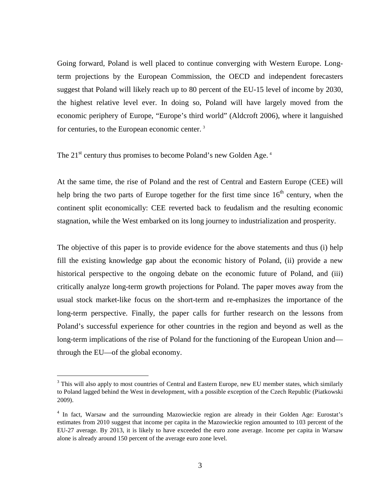Going forward, Poland is well placed to continue converging with Western Europe. Longterm projections by the European Commission, the OECD and independent forecasters suggest that Poland will likely reach up to 80 percent of the EU-15 level of income by 2030, the highest relative level ever. In doing so, Poland will have largely moved from the economic periphery of Europe, "Europe's third world" (Aldcroft 2006), where it languished for centuries, to the European economic center.<sup>[3](#page-4-0)</sup>

The  $21<sup>st</sup>$  century thus promises to become Poland's new Golden Age.<sup>[4](#page-4-1)</sup>

At the same time, the rise of Poland and the rest of Central and Eastern Europe (CEE) will help bring the two parts of Europe together for the first time since  $16<sup>th</sup>$  century, when the continent split economically: CEE reverted back to feudalism and the resulting economic stagnation, while the West embarked on its long journey to industrialization and prosperity.

The objective of this paper is to provide evidence for the above statements and thus (i) help fill the existing knowledge gap about the economic history of Poland, (ii) provide a new historical perspective to the ongoing debate on the economic future of Poland, and (iii) critically analyze long-term growth projections for Poland. The paper moves away from the usual stock market-like focus on the short-term and re-emphasizes the importance of the long-term perspective. Finally, the paper calls for further research on the lessons from Poland's successful experience for other countries in the region and beyond as well as the long-term implications of the rise of Poland for the functioning of the European Union and through the EU—of the global economy.

<span id="page-4-0"></span> $3$  This will also apply to most countries of Central and Eastern Europe, new EU member states, which similarly to Poland lagged behind the West in development, with a possible exception of the Czech Republic (Piatkowski 2009).

<span id="page-4-1"></span><sup>4</sup> In fact, Warsaw and the surrounding Mazowieckie region are already in their Golden Age: Eurostat's estimates from 2010 suggest that income per capita in the Mazowieckie region amounted to 103 percent of the EU-27 average. By 2013, it is likely to have exceeded the euro zone average. Income per capita in Warsaw alone is already around 150 percent of the average euro zone level.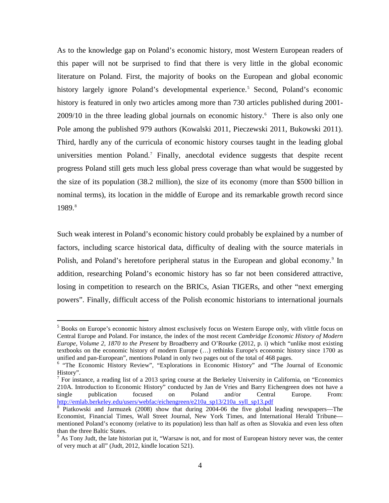As to the knowledge gap on Poland's economic history, most Western European readers of this paper will not be surprised to find that there is very little in the global economic literature on Poland. First, the majority of books on the European and global economic history largely ignore Poland's developmental experience.<sup>[5](#page-5-0)</sup> Second, Poland's economic history is featured in only two articles among more than 730 articles published during 2001- 2009/10 in the three leading global journals on economic history. [6](#page-5-1) There is also only one Pole among the published 979 authors (Kowalski 2011, Pieczewski 2011, Bukowski 2011). Third, hardly any of the curricula of economic history courses taught in the leading global universities mention Poland.<sup>[7](#page-5-2)</sup> Finally, anecdotal evidence suggests that despite recent progress Poland still gets much less global press coverage than what would be suggested by the size of its population (38.2 million), the size of its economy (more than \$500 billion in nominal terms), its location in the middle of Europe and its remarkable growth record since 19[8](#page-5-3)9.8

Such weak interest in Poland's economic history could probably be explained by a number of factors, including scarce historical data, difficulty of dealing with the source materials in Polish, and Poland's heretofore peripheral status in the European and global economy.<sup>[9](#page-5-4)</sup> In addition, researching Poland's economic history has so far not been considered attractive, losing in competition to research on the BRICs, Asian TIGERs, and other "next emerging powers". Finally, difficult access of the Polish economic historians to international journals

<span id="page-5-0"></span><sup>5</sup> Books on Europe's economic history almost exclusively focus on Western Europe only, with vlittle focus on Central Europe and Poland. For instance, the index of the most recent *Cambridge Economic History of Modern Europe, Volume 2, 1870 to the Present* by Broadberry and O'Rourke (2012, p. i) which "unlike most existing textbooks on the economic history of modern Europe (…) rethinks Europe's economic history since 1700 as unified and pan-European", mentions Poland in only two pages out of the total of 468 pages. 6

<span id="page-5-1"></span> $6$  "The Economic History Review", "Explorations in Economic History" and "The Journal of Economic History".

<span id="page-5-2"></span>For instance, a reading list of a 2013 spring course at the Berkeley University in California, on "Economics" 210A. Introduction to Economic History" conducted by Jan de Vries and Barry Eichengreen does not have a single publication focused on Poland and/or Central Europe. From: single publication focused on Poland and/or Central Europe. From: http://emlab.berkeley.edu/users/webfac/eichengreen/e210a\_sp13/210a\_syll\_sp13.pdf<br><sup>8</sup> Piatkowski and Jarmuzek (2008) show that during 2004-06 the five global leading newspapers—The

<span id="page-5-3"></span>Economist, Financial Times, Wall Street Journal, New York Times, and International Herald Tribune mentioned Poland's economy (relative to its population) less than half as often as Slovakia and even less often than the three Baltic States.

<span id="page-5-4"></span><sup>&</sup>lt;sup>9</sup> As Tony Judt, the late historian put it, "Warsaw is not, and for most of European history never was, the center of very much at all" (Judt, 2012, kindle location 521).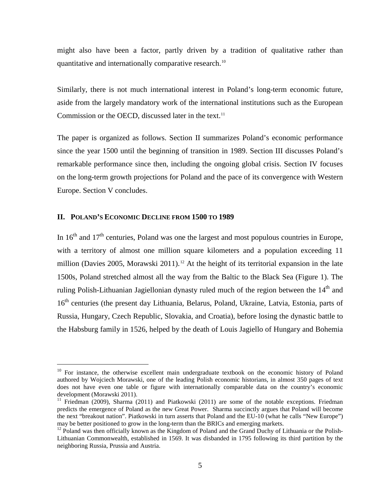might also have been a factor, partly driven by a tradition of qualitative rather than quantitative and internationally comparative research.<sup>[10](#page-6-0)</sup>

Similarly, there is not much international interest in Poland's long-term economic future, aside from the largely mandatory work of the international institutions such as the European Commission or the OECD, discussed later in the text.<sup>[11](#page-6-1)</sup>

The paper is organized as follows. Section II summarizes Poland's economic performance since the year 1500 until the beginning of transition in 1989. Section III discusses Poland's remarkable performance since then, including the ongoing global crisis. Section IV focuses on the long-term growth projections for Poland and the pace of its convergence with Western Europe. Section V concludes.

#### **II. POLAND'S ECONOMIC DECLINE FROM 1500 TO 1989**

 $\overline{a}$ 

In  $16<sup>th</sup>$  and  $17<sup>th</sup>$  centuries, Poland was one the largest and most populous countries in Europe, with a territory of almost one million square kilometers and a population exceeding 11 million (Davies 2005, Morawski 2011).<sup>[12](#page-6-2)</sup> At the height of its territorial expansion in the late 1500s, Poland stretched almost all the way from the Baltic to the Black Sea (Figure 1). The ruling Polish-Lithuanian Jagiellonian dynasty ruled much of the region between the  $14<sup>th</sup>$  and 16<sup>th</sup> centuries (the present day Lithuania, Belarus, Poland, Ukraine, Latvia, Estonia, parts of Russia, Hungary, Czech Republic, Slovakia, and Croatia), before losing the dynastic battle to the Habsburg family in 1526, helped by the death of Louis Jagiello of Hungary and Bohemia

<span id="page-6-0"></span><sup>&</sup>lt;sup>10</sup> For instance, the otherwise excellent main undergraduate textbook on the economic history of Poland authored by Wojciech Morawski, one of the leading Polish economic historians, in almost 350 pages of text does not have even one table or figure with internationally comparable data on the country's economic development (Morawski 2011).

<span id="page-6-1"></span> $11$  Friedman (2009), Sharma (2011) and Piatkowski (2011) are some of the notable exceptions. Friedman predicts the emergence of Poland as the new Great Power. Sharma succinctly argues that Poland will become the next "breakout nation". Piatkowski in turn asserts that Poland and the EU-10 (what he calls "New Europe") may be better positioned to grow in the long-term than the BRICs and emerging markets.

<span id="page-6-2"></span> $12$  Poland was then officially known as the Kingdom of Poland and the Grand Duchy of Lithuania or the Polish-Lithuanian Commonwealth, established in 1569. It was disbanded in 1795 following its third partition by the neighboring Russia, Prussia and Austria.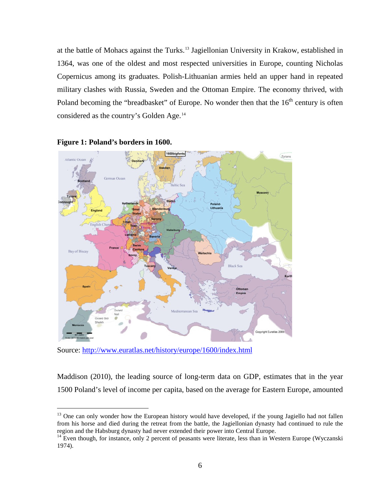at the battle of Mohacs against the Turks. [13](#page-7-0) Jagiellonian University in Krakow, established in 1364, was one of the oldest and most respected universities in Europe, counting Nicholas Copernicus among its graduates. Polish-Lithuanian armies held an upper hand in repeated military clashes with Russia, Sweden and the Ottoman Empire. The economy thrived, with Poland becoming the "breadbasket" of Europe. No wonder then that the  $16<sup>th</sup>$  century is often considered as the country's Golden Age.<sup>[14](#page-7-1)</sup>





Source:<http://www.euratlas.net/history/europe/1600/index.html>

 $\overline{a}$ 

Maddison (2010), the leading source of long-term data on GDP, estimates that in the year 1500 Poland's level of income per capita, based on the average for Eastern Europe, amounted

<span id="page-7-0"></span> $13$  One can only wonder how the European history would have developed, if the young Jagiello had not fallen from his horse and died during the retreat from the battle, the Jagiellonian dynasty had continued to rule the region and the Habsburg dynasty had never extended their power into Central Europe.<br><sup>14</sup> Even though, for instance, only 2 percent of peasants were literate, less than in Western Europe (Wyczanski

<span id="page-7-1"></span><sup>1974).</sup>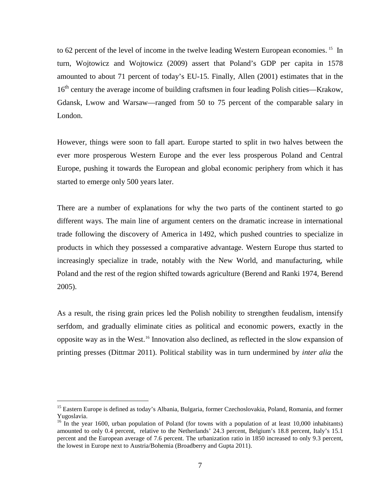to 62 percent of the level of income in the twelve leading Western European economies.<sup>15</sup> In turn, Wojtowicz and Wojtowicz (2009) assert that Poland's GDP per capita in 1578 amounted to about 71 percent of today's EU-15. Finally, Allen (2001) estimates that in the 16<sup>th</sup> century the average income of building craftsmen in four leading Polish cities—Krakow, Gdansk, Lwow and Warsaw—ranged from 50 to 75 percent of the comparable salary in London.

However, things were soon to fall apart. Europe started to split in two halves between the ever more prosperous Western Europe and the ever less prosperous Poland and Central Europe, pushing it towards the European and global economic periphery from which it has started to emerge only 500 years later.

There are a number of explanations for why the two parts of the continent started to go different ways. The main line of argument centers on the dramatic increase in international trade following the discovery of America in 1492, which pushed countries to specialize in products in which they possessed a comparative advantage. Western Europe thus started to increasingly specialize in trade, notably with the New World, and manufacturing, while Poland and the rest of the region shifted towards agriculture (Berend and Ranki 1974, Berend 2005).

As a result, the rising grain prices led the Polish nobility to strengthen feudalism, intensify serfdom, and gradually eliminate cities as political and economic powers, exactly in the opposite way as in the West.[16](#page-8-1) Innovation also declined, as reflected in the slow expansion of printing presses (Dittmar 2011). Political stability was in turn undermined by *inter alia* the

<span id="page-8-0"></span><sup>&</sup>lt;sup>15</sup> Eastern Europe is defined as today's Albania, Bulgaria, former Czechoslovakia, Poland, Romania, and former Yugoslavia.

<span id="page-8-1"></span><sup>&</sup>lt;sup>16</sup> In the year 1600, urban population of Poland (for towns with a population of at least 10,000 inhabitants) amounted to only 0.4 percent, relative to the Netherlands' 24.3 percent, Belgium's 18.8 percent, Italy's 15.1 percent and the European average of 7.6 percent. The urbanization ratio in 1850 increased to only 9.3 percent, the lowest in Europe next to Austria/Bohemia (Broadberry and Gupta 2011).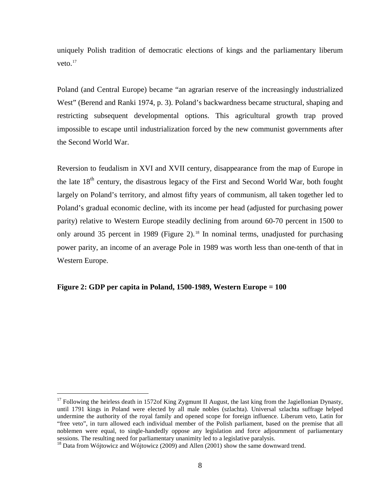uniquely Polish tradition of democratic elections of kings and the parliamentary liberum veto. [17](#page-9-0)

Poland (and Central Europe) became "an agrarian reserve of the increasingly industrialized West" (Berend and Ranki 1974, p. 3). Poland's backwardness became structural, shaping and restricting subsequent developmental options. This agricultural growth trap proved impossible to escape until industrialization forced by the new communist governments after the Second World War.

Reversion to feudalism in XVI and XVII century, disappearance from the map of Europe in the late  $18<sup>th</sup>$  century, the disastrous legacy of the First and Second World War, both fought largely on Poland's territory, and almost fifty years of communism, all taken together led to Poland's gradual economic decline, with its income per head (adjusted for purchasing power parity) relative to Western Europe steadily declining from around 60-70 percent in 1500 to only around 35 percent in 1989 (Figure 2).<sup>[18](#page-9-1)</sup> In nominal terms, unadjusted for purchasing power parity, an income of an average Pole in 1989 was worth less than one-tenth of that in Western Europe.

#### **Figure 2: GDP per capita in Poland, 1500-1989, Western Europe = 100**

<span id="page-9-0"></span><sup>&</sup>lt;sup>17</sup> Following the heirless death in 1572of King Zygmunt II August, the last king from the Jagiellonian Dynasty, until 1791 kings in Poland were elected by all male nobles (szlachta). Universal szlachta suffrage helped undermine the authority of the royal family and opened scope for foreign influence. Liberum veto, Latin for "free veto", in turn allowed each individual member of the Polish parliament, based on the premise that all noblemen were equal, to single-handedly oppose any legislation and force adjournment of parliamentary sessions. The resulting need for parliamentary unanimity led to a legislative paralysis.

<span id="page-9-1"></span><sup>&</sup>lt;sup>18</sup> Data from Wójtowicz and Wójtowicz (2009) and Allen (2001) show the same downward trend.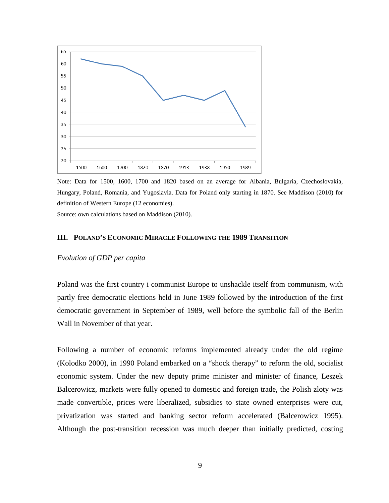

Note: Data for 1500, 1600, 1700 and 1820 based on an average for Albania, Bulgaria, Czechoslovakia, Hungary, Poland, Romania, and Yugoslavia. Data for Poland only starting in 1870. See Maddison (2010) for definition of Western Europe (12 economies).

Source: own calculations based on Maddison (2010).

#### **III. POLAND'S ECONOMIC MIRACLE FOLLOWING THE 1989 TRANSITION**

#### *Evolution of GDP per capita*

Poland was the first country i communist Europe to unshackle itself from communism, with partly free democratic elections held in June 1989 followed by the introduction of the first democratic government in September of 1989, well before the symbolic fall of the Berlin Wall in November of that year.

Following a number of economic reforms implemented already under the old regime (Kolodko 2000), in 1990 Poland embarked on a "shock therapy" to reform the old, socialist economic system. Under the new deputy prime minister and minister of finance, Leszek Balcerowicz, markets were fully opened to domestic and foreign trade, the Polish zloty was made convertible, prices were liberalized, subsidies to state owned enterprises were cut, privatization was started and banking sector reform accelerated (Balcerowicz 1995). Although the post-transition recession was much deeper than initially predicted, costing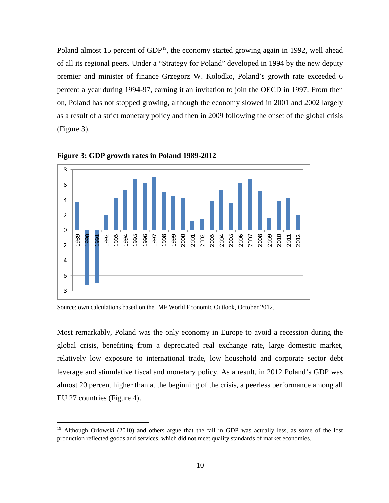Poland almost 15 percent of GDP<sup>[19](#page-11-0)</sup>, the economy started growing again in 1992, well ahead of all its regional peers. Under a "Strategy for Poland" developed in 1994 by the new deputy premier and minister of finance Grzegorz W. Kolodko, Poland's growth rate exceeded 6 percent a year during 1994-97, earning it an invitation to join the OECD in 1997. From then on, Poland has not stopped growing, although the economy slowed in 2001 and 2002 largely as a result of a strict monetary policy and then in 2009 following the onset of the global crisis (Figure 3).



**Figure 3: GDP growth rates in Poland 1989-2012** 

 $\overline{a}$ 

Most remarkably, Poland was the only economy in Europe to avoid a recession during the global crisis, benefiting from a depreciated real exchange rate, large domestic market, relatively low exposure to international trade, low household and corporate sector debt leverage and stimulative fiscal and monetary policy. As a result, in 2012 Poland's GDP was almost 20 percent higher than at the beginning of the crisis, a peerless performance among all EU 27 countries (Figure 4).

Source: own calculations based on the IMF World Economic Outlook, October 2012.

<span id="page-11-0"></span><sup>&</sup>lt;sup>19</sup> Although Orlowski (2010) and others argue that the fall in GDP was actually less, as some of the lost production reflected goods and services, which did not meet quality standards of market economies.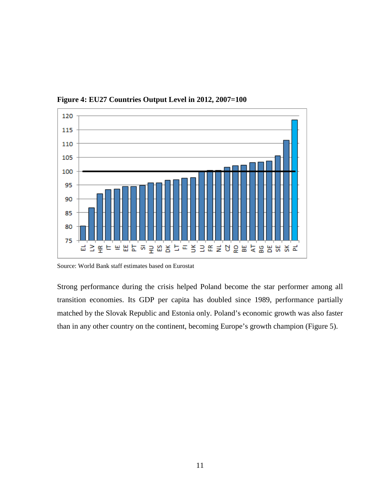

**Figure 4: EU27 Countries Output Level in 2012, 2007=100** 

Source: World Bank staff estimates based on Eurostat

Strong performance during the crisis helped Poland become the star performer among all transition economies. Its GDP per capita has doubled since 1989, performance partially matched by the Slovak Republic and Estonia only. Poland's economic growth was also faster than in any other country on the continent, becoming Europe's growth champion (Figure 5).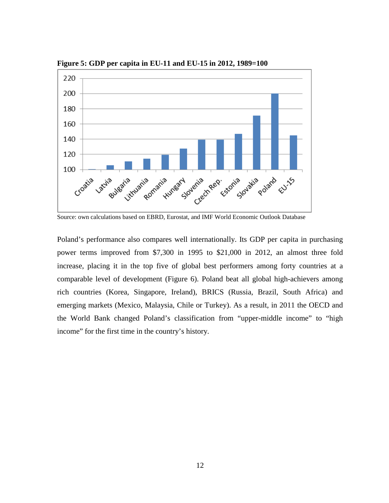

**Figure 5: GDP per capita in EU-11 and EU-15 in 2012, 1989=100** 

Source: own calculations based on EBRD, Eurostat, and IMF World Economic Outlook Database

Poland's performance also compares well internationally. Its GDP per capita in purchasing power terms improved from \$7,300 in 1995 to \$21,000 in 2012, an almost three fold increase, placing it in the top five of global best performers among forty countries at a comparable level of development (Figure 6). Poland beat all global high-achievers among rich countries (Korea, Singapore, Ireland), BRICS (Russia, Brazil, South Africa) and emerging markets (Mexico, Malaysia, Chile or Turkey). As a result, in 2011 the OECD and the World Bank changed Poland's classification from "upper-middle income" to "high income" for the first time in the country's history.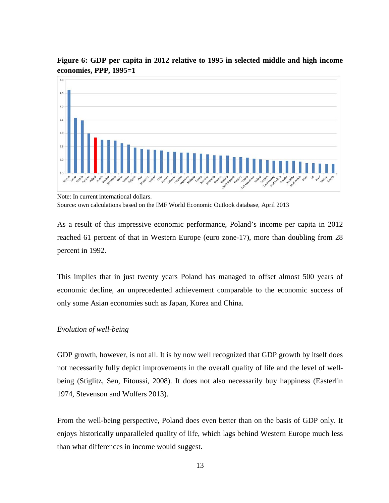

**Figure 6: GDP per capita in 2012 relative to 1995 in selected middle and high income economies, PPP, 1995=1** 

As a result of this impressive economic performance, Poland's income per capita in 2012 reached 61 percent of that in Western Europe (euro zone-17), more than doubling from 28 percent in 1992.

This implies that in just twenty years Poland has managed to offset almost 500 years of economic decline, an unprecedented achievement comparable to the economic success of only some Asian economies such as Japan, Korea and China.

#### *Evolution of well-being*

GDP growth, however, is not all. It is by now well recognized that GDP growth by itself does not necessarily fully depict improvements in the overall quality of life and the level of wellbeing (Stiglitz, Sen, Fitoussi, 2008). It does not also necessarily buy happiness (Easterlin 1974, Stevenson and Wolfers 2013).

From the well-being perspective, Poland does even better than on the basis of GDP only. It enjoys historically unparalleled quality of life, which lags behind Western Europe much less than what differences in income would suggest.

Note: In current international dollars. Source: own calculations based on the IMF World Economic Outlook database, April 2013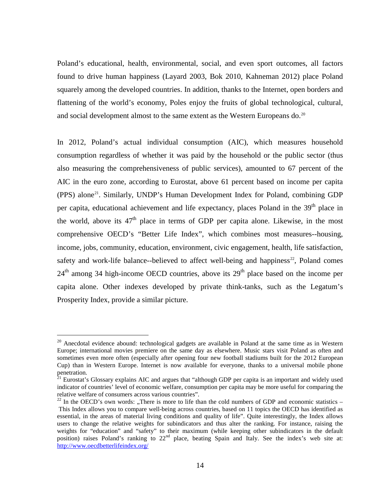Poland's educational, health, environmental, social, and even sport outcomes, all factors found to drive human happiness (Layard 2003, Bok 2010, Kahneman 2012) place Poland squarely among the developed countries. In addition, thanks to the Internet, open borders and flattening of the world's economy, Poles enjoy the fruits of global technological, cultural, and social development almost to the same extent as the Western Europeans do.<sup>[20](#page-15-0)</sup>

In 2012, Poland's actual individual consumption (AIC), which measures household consumption regardless of whether it was paid by the household or the public sector (thus also measuring the comprehensiveness of public services), amounted to 67 percent of the AIC in the euro zone, according to Eurostat, above 61 percent based on income per capita (PPS) alone[21](#page-15-1). Similarly, UNDP's Human Development Index for Poland, combining GDP per capita, educational achievement and life expectancy, places Poland in the 39<sup>th</sup> place in the world, above its  $47<sup>th</sup>$  place in terms of GDP per capita alone. Likewise, in the most comprehensive OECD's "Better Life Index", which combines most measures--housing, income, jobs, community, education, environment, civic engagement, health, life satisfaction, safety and work-life balance--believed to affect well-being and happiness<sup>22</sup>, Poland comes  $24<sup>th</sup>$  among 34 high-income OECD countries, above its  $29<sup>th</sup>$  place based on the income per capita alone. Other indexes developed by private think-tanks, such as the Legatum's Prosperity Index, provide a similar picture.

<span id="page-15-0"></span> $20$  Anecdotal evidence abound: technological gadgets are available in Poland at the same time as in Western Europe; international movies premiere on the same day as elsewhere. Music stars visit Poland as often and sometimes even more often (especially after opening four new football stadiums built for the 2012 European Cup) than in Western Europe. Internet is now available for everyone, thanks to a universal mobile phone penetration.

<span id="page-15-1"></span><sup>&</sup>lt;sup>21</sup> Eurostat's Glossary explains AIC and argues that "although GDP per capita is an important and widely used indicator of countries' level of economic welfare, consumption per capita may be more useful for comparing the relative welfare of consumers across various countries".

<span id="page-15-2"></span> $^{22}$  In the OECD's own words: "There is more to life than the cold numbers of GDP and economic statistics – This Index allows you to compare well-being across countries, based on 11 topics the OECD has identified as essential, in the areas of material living conditions and quality of life". Quite interestingly, the Index allows users to change the relative weights for subindicators and thus alter the ranking. For instance, raising the weights for "education" and "safety" to their maximum (while keeping other subindicators in the default position) raises Poland's ranking to 22<sup>nd</sup> place, beating Spain and Italy. See the index's web site at: <http://www.oecdbetterlifeindex.org/>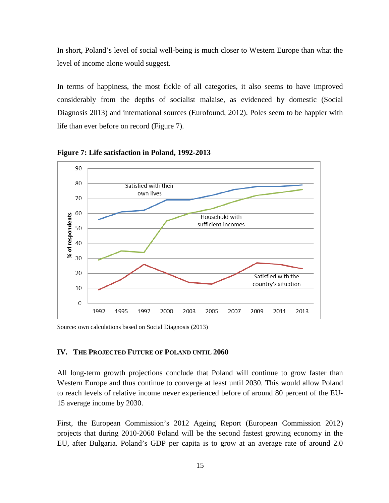In short, Poland's level of social well-being is much closer to Western Europe than what the level of income alone would suggest.

In terms of happiness, the most fickle of all categories, it also seems to have improved considerably from the depths of socialist malaise, as evidenced by domestic (Social Diagnosis 2013) and international sources (Eurofound, 2012). Poles seem to be happier with life than ever before on record (Figure 7).



**Figure 7: Life satisfaction in Poland, 1992-2013** 

Source: own calculations based on Social Diagnosis (2013)

#### **IV. THE PROJECTED FUTURE OF POLAND UNTIL 2060**

All long-term growth projections conclude that Poland will continue to grow faster than Western Europe and thus continue to converge at least until 2030. This would allow Poland to reach levels of relative income never experienced before of around 80 percent of the EU-15 average income by 2030.

First, the European Commission's 2012 Ageing Report (European Commission 2012) projects that during 2010-2060 Poland will be the second fastest growing economy in the EU, after Bulgaria. Poland's GDP per capita is to grow at an average rate of around 2.0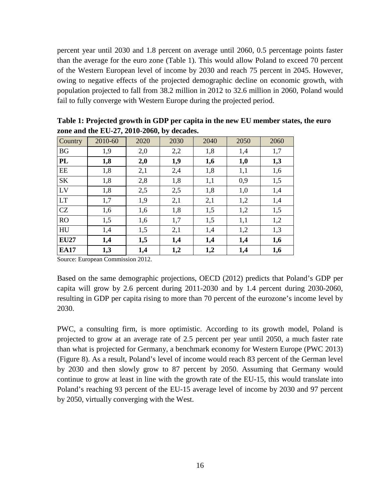percent year until 2030 and 1.8 percent on average until 2060, 0.5 percentage points faster than the average for the euro zone (Table 1). This would allow Poland to exceed 70 percent of the Western European level of income by 2030 and reach 75 percent in 2045. However, owing to negative effects of the projected demographic decline on economic growth, with population projected to fall from 38.2 million in 2012 to 32.6 million in 2060, Poland would fail to fully converge with Western Europe during the projected period.

| Country     | 2010-60 | 2020 | 2030 | 2040 | 2050 | 2060 |
|-------------|---------|------|------|------|------|------|
| <b>BG</b>   | 1,9     | 2,0  | 2,2  | 1,8  | 1,4  | 1,7  |
| <b>PL</b>   | 1,8     | 2,0  | 1,9  | 1,6  | 1,0  | 1,3  |
| EE          | 1,8     | 2,1  | 2,4  | 1,8  | 1,1  | 1,6  |
| <b>SK</b>   | 1,8     | 2,8  | 1,8  | 1,1  | 0,9  | 1,5  |
| LV          | 1,8     | 2,5  | 2,5  | 1,8  | 1,0  | 1,4  |
| <b>LT</b>   | 1,7     | 1,9  | 2,1  | 2,1  | 1,2  | 1,4  |
| CZ          | 1,6     | 1,6  | 1,8  | 1,5  | 1,2  | 1,5  |
| <b>RO</b>   | 1,5     | 1,6  | 1,7  | 1,5  | 1,1  | 1,2  |
| HU          | 1,4     | 1,5  | 2,1  | 1,4  | 1,2  | 1,3  |
| <b>EU27</b> | 1,4     | 1,5  | 1,4  | 1,4  | 1,4  | 1,6  |
| <b>EA17</b> | 1,3     | 1,4  | 1,2  | 1,2  | 1,4  | 1,6  |

**Table 1: Projected growth in GDP per capita in the new EU member states, the euro zone and the EU-27, 2010-2060, by decades.** 

Source: European Commission 2012.

Based on the same demographic projections, OECD (2012) predicts that Poland's GDP per capita will grow by 2.6 percent during 2011-2030 and by 1.4 percent during 2030-2060, resulting in GDP per capita rising to more than 70 percent of the eurozone's income level by 2030.

PWC, a consulting firm, is more optimistic. According to its growth model, Poland is projected to grow at an average rate of 2.5 percent per year until 2050, a much faster rate than what is projected for Germany, a benchmark economy for Western Europe (PWC 2013) (Figure 8). As a result, Poland's level of income would reach 83 percent of the German level by 2030 and then slowly grow to 87 percent by 2050. Assuming that Germany would continue to grow at least in line with the growth rate of the EU-15, this would translate into Poland's reaching 93 percent of the EU-15 average level of income by 2030 and 97 percent by 2050, virtually converging with the West.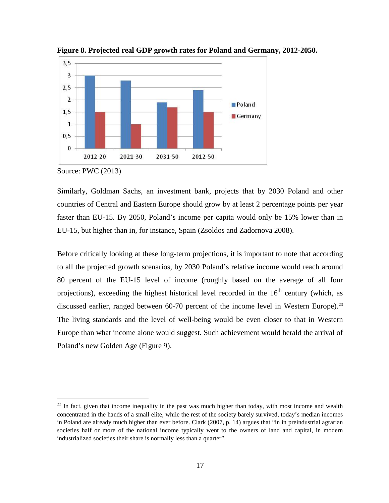

**Figure 8. Projected real GDP growth rates for Poland and Germany, 2012-2050.** 

Source: PWC (2013)

 $\overline{a}$ 

Similarly, Goldman Sachs, an investment bank, projects that by 2030 Poland and other countries of Central and Eastern Europe should grow by at least 2 percentage points per year faster than EU-15. By 2050, Poland's income per capita would only be 15% lower than in EU-15, but higher than in, for instance, Spain (Zsoldos and Zadornova 2008).

Before critically looking at these long-term projections, it is important to note that according to all the projected growth scenarios, by 2030 Poland's relative income would reach around 80 percent of the EU-15 level of income (roughly based on the average of all four projections), exceeding the highest historical level recorded in the  $16<sup>th</sup>$  century (which, as discussed earlier, ranged between 60-70 percent of the income level in Western Europe).<sup>[23](#page-18-0)</sup> The living standards and the level of well-being would be even closer to that in Western Europe than what income alone would suggest. Such achievement would herald the arrival of Poland's new Golden Age (Figure 9).

<span id="page-18-0"></span> $23$  In fact, given that income inequality in the past was much higher than today, with most income and wealth concentrated in the hands of a small elite, while the rest of the society barely survived, today's median incomes in Poland are already much higher than ever before. Clark (2007, p. 14) argues that "in in preindustrial agrarian societies half or more of the national income typically went to the owners of land and capital, in modern industrialized societies their share is normally less than a quarter".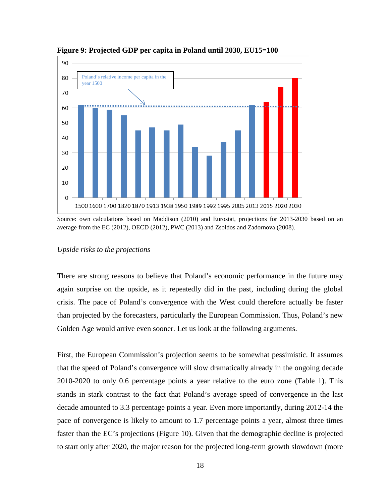

**Figure 9: Projected GDP per capita in Poland until 2030, EU15=100** 

#### *Upside risks to the projections*

There are strong reasons to believe that Poland's economic performance in the future may again surprise on the upside, as it repeatedly did in the past, including during the global crisis. The pace of Poland's convergence with the West could therefore actually be faster than projected by the forecasters, particularly the European Commission. Thus, Poland's new Golden Age would arrive even sooner. Let us look at the following arguments.

First, the European Commission's projection seems to be somewhat pessimistic. It assumes that the speed of Poland's convergence will slow dramatically already in the ongoing decade 2010-2020 to only 0.6 percentage points a year relative to the euro zone (Table 1). This stands in stark contrast to the fact that Poland's average speed of convergence in the last decade amounted to 3.3 percentage points a year. Even more importantly, during 2012-14 the pace of convergence is likely to amount to 1.7 percentage points a year, almost three times faster than the EC's projections (Figure 10). Given that the demographic decline is projected to start only after 2020, the major reason for the projected long-term growth slowdown (more

Source: own calculations based on Maddison (2010) and Eurostat, projections for 2013-2030 based on an average from the EC (2012), OECD (2012), PWC (2013) and Zsoldos and Zadornova (2008).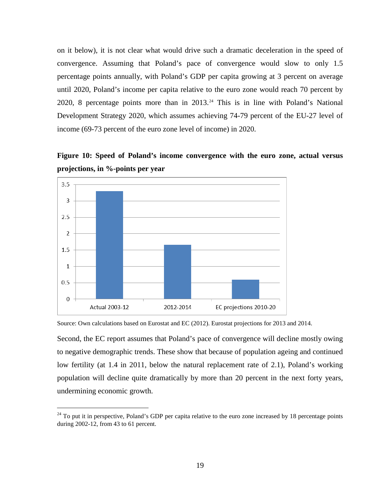on it below), it is not clear what would drive such a dramatic deceleration in the speed of convergence. Assuming that Poland's pace of convergence would slow to only 1.5 percentage points annually, with Poland's GDP per capita growing at 3 percent on average until 2020, Poland's income per capita relative to the euro zone would reach 70 percent by 2020, 8 percentage points more than in 2013.[24](#page-20-0) This is in line with Poland's National Development Strategy 2020, which assumes achieving 74-79 percent of the EU-27 level of income (69-73 percent of the euro zone level of income) in 2020.

**Figure 10: Speed of Poland's income convergence with the euro zone, actual versus projections, in %-points per year**



Source: Own calculations based on Eurostat and EC (2012). Eurostat projections for 2013 and 2014.

 $\overline{a}$ 

Second, the EC report assumes that Poland's pace of convergence will decline mostly owing to negative demographic trends. These show that because of population ageing and continued low fertility (at 1.4 in 2011, below the natural replacement rate of 2.1), Poland's working population will decline quite dramatically by more than 20 percent in the next forty years, undermining economic growth.

<span id="page-20-0"></span> $24$  To put it in perspective, Poland's GDP per capita relative to the euro zone increased by 18 percentage points during 2002-12, from 43 to 61 percent.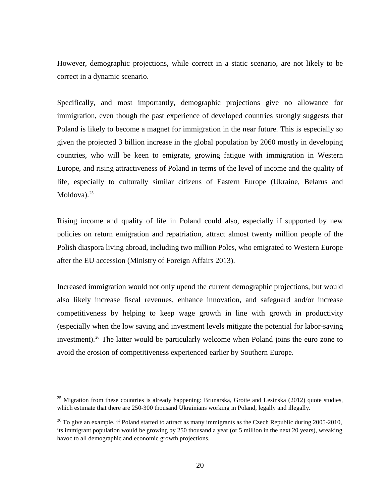However, demographic projections, while correct in a static scenario, are not likely to be correct in a dynamic scenario.

Specifically, and most importantly, demographic projections give no allowance for immigration, even though the past experience of developed countries strongly suggests that Poland is likely to become a magnet for immigration in the near future. This is especially so given the projected 3 billion increase in the global population by 2060 mostly in developing countries, who will be keen to emigrate, growing fatigue with immigration in Western Europe, and rising attractiveness of Poland in terms of the level of income and the quality of life, especially to culturally similar citizens of Eastern Europe (Ukraine, Belarus and Moldova). $25$ 

Rising income and quality of life in Poland could also, especially if supported by new policies on return emigration and repatriation, attract almost twenty million people of the Polish diaspora living abroad, including two million Poles, who emigrated to Western Europe after the EU accession (Ministry of Foreign Affairs 2013).

Increased immigration would not only upend the current demographic projections, but would also likely increase fiscal revenues, enhance innovation, and safeguard and/or increase competitiveness by helping to keep wage growth in line with growth in productivity (especially when the low saving and investment levels mitigate the potential for labor-saving investment).<sup>[26](#page-21-1)</sup> The latter would be particularly welcome when Poland joins the euro zone to avoid the erosion of competitiveness experienced earlier by Southern Europe.

<span id="page-21-0"></span><sup>&</sup>lt;sup>25</sup> Migration from these countries is already happening: Brunarska, Grotte and Lesinska (2012) quote studies, which estimate that there are 250-300 thousand Ukrainians working in Poland, legally and illegally.

<span id="page-21-1"></span> $^{26}$  To give an example, if Poland started to attract as many immigrants as the Czech Republic during 2005-2010, its immigrant population would be growing by 250 thousand a year (or 5 million in the next 20 years), wreaking havoc to all demographic and economic growth projections.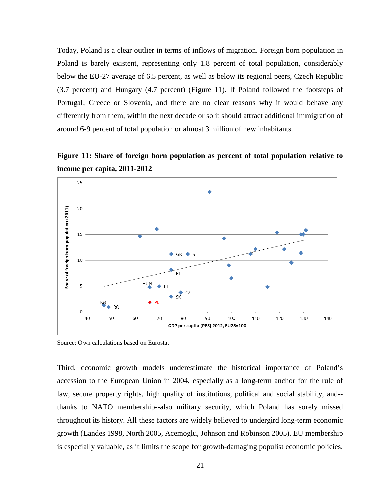Today, Poland is a clear outlier in terms of inflows of migration. Foreign born population in Poland is barely existent, representing only 1.8 percent of total population, considerably below the EU-27 average of 6.5 percent, as well as below its regional peers, Czech Republic (3.7 percent) and Hungary (4.7 percent) (Figure 11). If Poland followed the footsteps of Portugal, Greece or Slovenia, and there are no clear reasons why it would behave any differently from them, within the next decade or so it should attract additional immigration of around 6-9 percent of total population or almost 3 million of new inhabitants.

**Figure 11: Share of foreign born population as percent of total population relative to income per capita, 2011-2012** 



Source: Own calculations based on Eurostat

Third, economic growth models underestimate the historical importance of Poland's accession to the European Union in 2004, especially as a long-term anchor for the rule of law, secure property rights, high quality of institutions, political and social stability, and- thanks to NATO membership--also military security, which Poland has sorely missed throughout its history. All these factors are widely believed to undergird long-term economic growth (Landes 1998, North 2005, Acemoglu, Johnson and Robinson 2005). EU membership is especially valuable, as it limits the scope for growth-damaging populist economic policies,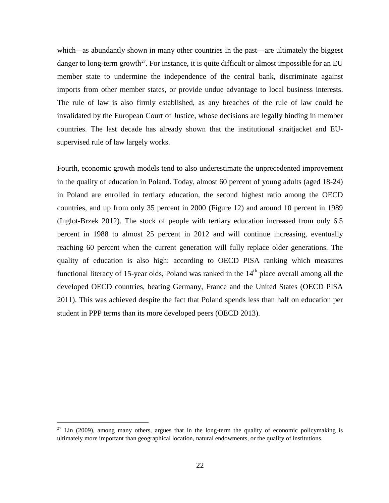which—as abundantly shown in many other countries in the past—are ultimately the biggest danger to long-term growth<sup>[27](#page-23-0)</sup>. For instance, it is quite difficult or almost impossible for an EU member state to undermine the independence of the central bank, discriminate against imports from other member states, or provide undue advantage to local business interests. The rule of law is also firmly established, as any breaches of the rule of law could be invalidated by the European Court of Justice, whose decisions are legally binding in member countries. The last decade has already shown that the institutional straitjacket and EUsupervised rule of law largely works.

Fourth, economic growth models tend to also underestimate the unprecedented improvement in the quality of education in Poland. Today, almost 60 percent of young adults (aged 18-24) in Poland are enrolled in tertiary education, the second highest ratio among the OECD countries, and up from only 35 percent in 2000 (Figure 12) and around 10 percent in 1989 (Inglot-Brzek 2012). The stock of people with tertiary education increased from only 6.5 percent in 1988 to almost 25 percent in 2012 and will continue increasing, eventually reaching 60 percent when the current generation will fully replace older generations. The quality of education is also high: according to OECD PISA ranking which measures functional literacy of 15-year olds, Poland was ranked in the  $14<sup>th</sup>$  place overall among all the developed OECD countries, beating Germany, France and the United States (OECD PISA 2011). This was achieved despite the fact that Poland spends less than half on education per student in PPP terms than its more developed peers (OECD 2013).

<span id="page-23-0"></span> $27$  Lin (2009), among many others, argues that in the long-term the quality of economic policymaking is ultimately more important than geographical location, natural endowments, or the quality of institutions.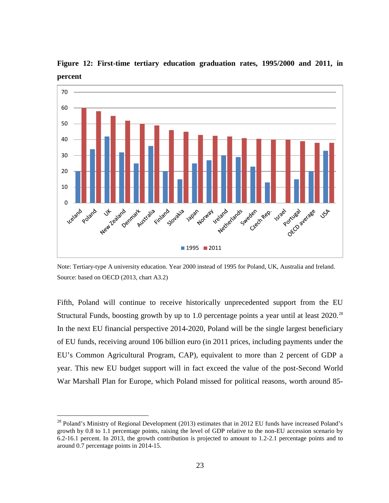

**Figure 12: First-time tertiary education graduation rates, 1995/2000 and 2011, in percent**

Note: Tertiary-type A university education. Year 2000 instead of 1995 for Poland, UK, Australia and Ireland. Source: based on OECD (2013, chart A3.2)

Fifth, Poland will continue to receive historically unprecedented support from the EU Structural Funds, boosting growth by up to 1.0 percentage points a year until at least 2020.<sup>[28](#page-24-0)</sup> In the next EU financial perspective 2014-2020, Poland will be the single largest beneficiary of EU funds, receiving around 106 billion euro (in 2011 prices, including payments under the EU's Common Agricultural Program, CAP), equivalent to more than 2 percent of GDP a year. This new EU budget support will in fact exceed the value of the post-Second World War Marshall Plan for Europe, which Poland missed for political reasons, worth around 85-

<span id="page-24-0"></span><sup>&</sup>lt;sup>28</sup> Poland's Ministry of Regional Development (2013) estimates that in 2012 EU funds have increased Poland's growth by 0.8 to 1.1 percentage points, raising the level of GDP relative to the non-EU accession scenario by 6.2-16.1 percent. In 2013, the growth contribution is projected to amount to 1.2-2.1 percentage points and to around 0.7 percentage points in 2014-15.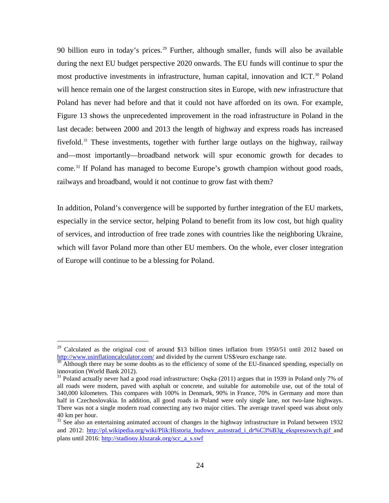90 billion euro in today's prices.<sup>[29](#page-25-0)</sup> Further, although smaller, funds will also be available during the next EU budget perspective 2020 onwards. The EU funds will continue to spur the most productive investments in infrastructure, human capital, innovation and ICT.<sup>30</sup> Poland will hence remain one of the largest construction sites in Europe, with new infrastructure that Poland has never had before and that it could not have afforded on its own. For example, Figure 13 shows the unprecedented improvement in the road infrastructure in Poland in the last decade: between 2000 and 2013 the length of highway and express roads has increased fivefold.<sup>[31](#page-25-2)</sup> These investments, together with further large outlays on the highway, railway and—most importantly—broadband network will spur economic growth for decades to come.[32](#page-25-3) If Poland has managed to become Europe's growth champion without good roads, railways and broadband, would it not continue to grow fast with them?

In addition, Poland's convergence will be supported by further integration of the EU markets, especially in the service sector, helping Poland to benefit from its low cost, but high quality of services, and introduction of free trade zones with countries like the neighboring Ukraine, which will favor Poland more than other EU members. On the whole, ever closer integration of Europe will continue to be a blessing for Poland.

<span id="page-25-0"></span><sup>&</sup>lt;sup>29</sup> Calculated as the original cost of around \$13 billion times inflation from 1950/51 until 2012 based on  $\frac{http://www.usinflationcalulator.com/}{http://www.usinflationcalulator.com/}$  and divided by the current US\$/euro exchange rate.

<span id="page-25-1"></span> $\frac{30}{30}$  Although there may be some doubts as to the efficiency of some of the EU-financed spending, especially on innovation (World Bank 2012).

<span id="page-25-2"></span> $31$  Poland actually never had a good road infrastructure: Osęka (2011) argues that in 1939 in Poland only 7% of all roads were modern, paved with asphalt or concrete, and suitable for automobile use, out of the total of 340,000 kilometers. This compares with 100% in Denmark, 90% in France, 70% in Germany and more than half in Czechoslovakia. In addition, all good roads in Poland were only single lane, not two-lane highways. There was not a single modern road connecting any two major cities. The average travel speed was about only 40 km per hour.

<span id="page-25-3"></span><sup>&</sup>lt;sup>32</sup> See also an entertaining animated account of changes in the highway infrastructure in Poland between 1932 and 2012: http://pl.wikipedia.org/wiki/Plik:Historia budowy autostrad i dr%C3%B3g ekspresowych.gif and plans until 2016: [http://stadiony.klszarak.org/scc\\_a\\_s.swf](http://stadiony.klszarak.org/scc_a_s.swf)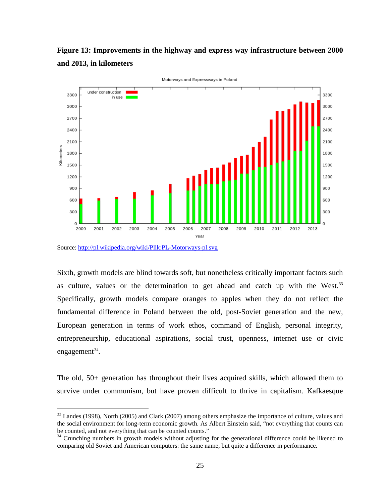



Source:<http://pl.wikipedia.org/wiki/Plik:PL-Motorways-pl.svg>

 $\overline{a}$ 

Sixth, growth models are blind towards soft, but nonetheless critically important factors such as culture, values or the determination to get ahead and catch up with the West.<sup>[33](#page-26-0)</sup> Specifically, growth models compare oranges to apples when they do not reflect the fundamental difference in Poland between the old, post-Soviet generation and the new, European generation in terms of work ethos, command of English, personal integrity, entrepreneurship, educational aspirations, social trust, openness, internet use or civic engagement $34$ .

The old, 50+ generation has throughout their lives acquired skills, which allowed them to survive under communism, but have proven difficult to thrive in capitalism. Kafkaesque

<span id="page-26-0"></span><sup>&</sup>lt;sup>33</sup> Landes (1998), North (2005) and Clark (2007) among others emphasize the importance of culture, values and the social environment for long-term economic growth. As Albert Einstein said, "not everything that counts can be counted, and not everything that can be counted counts."<br><sup>34</sup> Crunching numbers in growth models without adjusting for the generational difference could be likened to

<span id="page-26-1"></span>comparing old Soviet and American computers: the same name, but quite a difference in performance.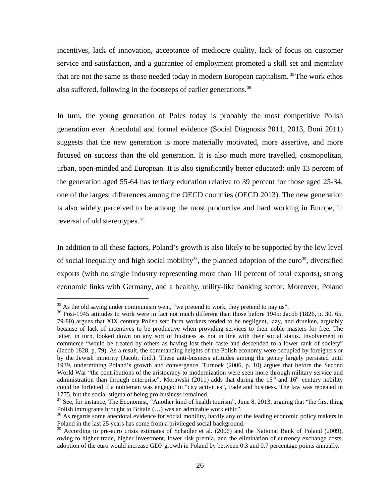incentives, lack of innovation, acceptance of mediocre quality, lack of focus on customer service and satisfaction, and a guarantee of employment promoted a skill set and mentality that are not the same as those needed today in modern European capitalism.<sup>[35](#page-27-0)</sup> The work ethos also suffered, following in the footsteps of earlier generations.<sup>[36](#page-27-1)</sup>

In turn, the young generation of Poles today is probably the most competitive Polish generation ever. Anecdotal and formal evidence (Social Diagnosis 2011, 2013, Boni 2011) suggests that the new generation is more materially motivated, more assertive, and more focused on success than the old generation. It is also much more travelled, cosmopolitan, urban, open-minded and European. It is also significantly better educated: only 13 percent of the generation aged 55-64 has tertiary education relative to 39 percent for those aged 25-34, one of the largest differences among the OECD countries (OECD 2013). The new generation is also widely perceived to be among the most productive and hard working in Europe, in reversal of old stereotypes.<sup>[37](#page-27-2)</sup>

In addition to all these factors, Poland's growth is also likely to be supported by the low level of social inequality and high social mobility<sup>[38](#page-27-3)</sup>, the planned adoption of the euro<sup>[39](#page-27-4)</sup>, diversified exports (with no single industry representing more than 10 percent of total exports), strong economic links with Germany, and a healthy, utility-like banking sector. Moreover, Poland

<span id="page-27-1"></span><span id="page-27-0"></span><sup>&</sup>lt;sup>35</sup> As the old saying under communism went, "we pretend to work, they pretend to pay us".<br><sup>36</sup> Post-1945 attitudes to work were in fact not much different than those before 1945: Jacob (1826, p. 30, 65, 79-80) argues that XIX century Polish serf farm workers tended to be negligent, lazy, and drunken, arguably because of lack of incentives to be productive when providing services to their noble masters for free. The latter, in turn, looked down on any sort of business as not in line with their social status. Involvement in commerce "would be treated by others as having lost their caste and descended to a lower rank of society" (Jacob 1828, p. 79). As a result, the commanding heights of the Polish economy were occupied by foreigners or by the Jewish minority (Jacob, ibid.). These anti-business attitudes among the gentry largely persisted until 1939, undermining Poland's growth and convergence. Turnock (2006, p. 10) argues that before the Second World War "the contributions of the aristocracy to modernization were seen more through military service and administration than through enterprise". Morawski (2011) adds that during the  $15<sup>th</sup>$  and  $16<sup>th</sup>$  century nobility could be forfeited if a nobleman was engaged in "city activities", trade and business. The law was repealed in 1775, but the social stigma of being pro-business remained.

<span id="page-27-2"></span> $37$  See, for instance, The Economist, "Another kind of health tourism", June 8, 2013, arguing that "the first thing Polish immigrants brought to Britain (…) was an admirable work ethic".

<span id="page-27-3"></span> $38$  As regards some anecdotal evidence for social mobility, hardly any of the leading economic policy makers in Poland in the last 25 years has come from a privileged social background.

<span id="page-27-4"></span><sup>&</sup>lt;sup>39</sup> According to pre-euro crisis estimates of Schadler et al. (2006) and the National Bank of Poland (2009), owing to higher trade, higher investment, lower risk premia, and the elimination of currency exchange costs, adoption of the euro would increase GDP growth in Poland by between 0.3 and 0.7 percentage points annually.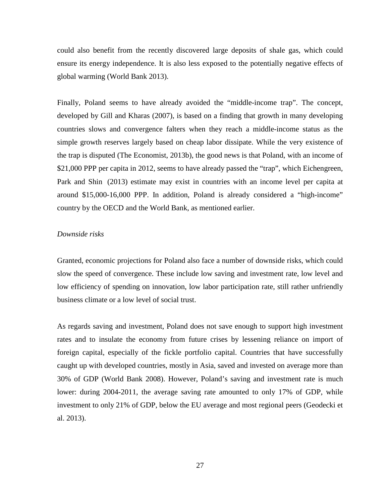could also benefit from the recently discovered large deposits of shale gas, which could ensure its energy independence. It is also less exposed to the potentially negative effects of global warming (World Bank 2013).

Finally, Poland seems to have already avoided the "middle-income trap". The concept, developed by Gill and Kharas (2007), is based on a finding that growth in many developing countries slows and convergence falters when they reach a middle-income status as the simple growth reserves largely based on cheap labor dissipate. While the very existence of the trap is disputed (The Economist, 2013b), the good news is that Poland, with an income of \$21,000 PPP per capita in 2012, seems to have already passed the "trap", which Eichengreen, Park and Shin (2013) estimate may exist in countries with an income level per capita at around \$15,000-16,000 PPP. In addition, Poland is already considered a "high-income" country by the OECD and the World Bank, as mentioned earlier.

#### *Downside risks*

Granted, economic projections for Poland also face a number of downside risks, which could slow the speed of convergence. These include low saving and investment rate, low level and low efficiency of spending on innovation, low labor participation rate, still rather unfriendly business climate or a low level of social trust.

As regards saving and investment, Poland does not save enough to support high investment rates and to insulate the economy from future crises by lessening reliance on import of foreign capital, especially of the fickle portfolio capital. Countries that have successfully caught up with developed countries, mostly in Asia, saved and invested on average more than 30% of GDP (World Bank 2008). However, Poland's saving and investment rate is much lower: during 2004-2011, the average saving rate amounted to only 17% of GDP, while investment to only 21% of GDP, below the EU average and most regional peers (Geodecki et al. 2013).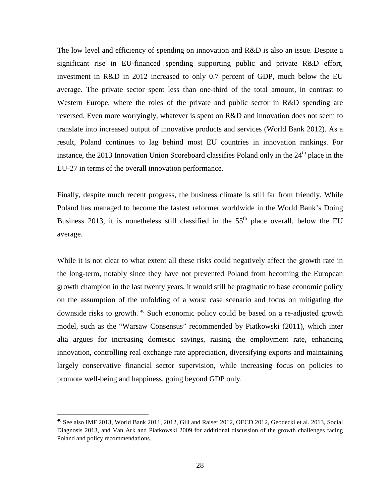The low level and efficiency of spending on innovation and R&D is also an issue. Despite a significant rise in EU-financed spending supporting public and private R&D effort, investment in R&D in 2012 increased to only 0.7 percent of GDP, much below the EU average. The private sector spent less than one-third of the total amount, in contrast to Western Europe, where the roles of the private and public sector in R&D spending are reversed. Even more worryingly, whatever is spent on R&D and innovation does not seem to translate into increased output of innovative products and services (World Bank 2012). As a result, Poland continues to lag behind most EU countries in innovation rankings. For instance, the 2013 Innovation Union Scoreboard classifies Poland only in the  $24<sup>th</sup>$  place in the EU-27 in terms of the overall innovation performance.

Finally, despite much recent progress, the business climate is still far from friendly. While Poland has managed to become the fastest reformer worldwide in the World Bank's Doing Business 2013, it is nonetheless still classified in the  $55<sup>th</sup>$  place overall, below the EU average.

While it is not clear to what extent all these risks could negatively affect the growth rate in the long-term, notably since they have not prevented Poland from becoming the European growth champion in the last twenty years, it would still be pragmatic to base economic policy on the assumption of the unfolding of a worst case scenario and focus on mitigating the downside risks to growth. [40](#page-29-0) Such economic policy could be based on a re-adjusted growth model, such as the "Warsaw Consensus" recommended by Piatkowski (2011), which inter alia argues for increasing domestic savings, raising the employment rate, enhancing innovation, controlling real exchange rate appreciation, diversifying exports and maintaining largely conservative financial sector supervision, while increasing focus on policies to promote well-being and happiness, going beyond GDP only.

<span id="page-29-0"></span><sup>40</sup> See also IMF 2013, World Bank 2011, 2012, Gill and Raiser 2012, OECD 2012, Geodecki et al. 2013, Social Diagnosis 2013, and Van Ark and Piatkowski 2009 for additional discussion of the growth challenges facing Poland and policy recommendations.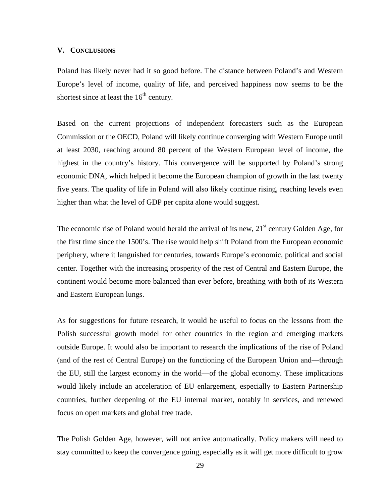#### **V. CONCLUSIONS**

Poland has likely never had it so good before. The distance between Poland's and Western Europe's level of income, quality of life, and perceived happiness now seems to be the shortest since at least the  $16<sup>th</sup>$  century.

Based on the current projections of independent forecasters such as the European Commission or the OECD, Poland will likely continue converging with Western Europe until at least 2030, reaching around 80 percent of the Western European level of income, the highest in the country's history. This convergence will be supported by Poland's strong economic DNA, which helped it become the European champion of growth in the last twenty five years. The quality of life in Poland will also likely continue rising, reaching levels even higher than what the level of GDP per capita alone would suggest.

The economic rise of Poland would herald the arrival of its new,  $21<sup>st</sup>$  century Golden Age, for the first time since the 1500's. The rise would help shift Poland from the European economic periphery, where it languished for centuries, towards Europe's economic, political and social center. Together with the increasing prosperity of the rest of Central and Eastern Europe, the continent would become more balanced than ever before, breathing with both of its Western and Eastern European lungs.

As for suggestions for future research, it would be useful to focus on the lessons from the Polish successful growth model for other countries in the region and emerging markets outside Europe. It would also be important to research the implications of the rise of Poland (and of the rest of Central Europe) on the functioning of the European Union and—through the EU, still the largest economy in the world—of the global economy. These implications would likely include an acceleration of EU enlargement, especially to Eastern Partnership countries, further deepening of the EU internal market, notably in services, and renewed focus on open markets and global free trade.

The Polish Golden Age, however, will not arrive automatically. Policy makers will need to stay committed to keep the convergence going, especially as it will get more difficult to grow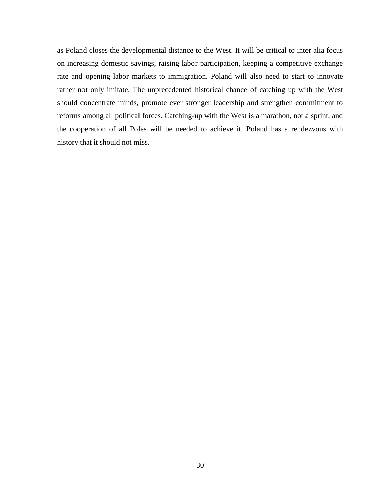as Poland closes the developmental distance to the West. It will be critical to inter alia focus on increasing domestic savings, raising labor participation, keeping a competitive exchange rate and opening labor markets to immigration. Poland will also need to start to innovate rather not only imitate. The unprecedented historical chance of catching up with the West should concentrate minds, promote ever stronger leadership and strengthen commitment to reforms among all political forces. Catching-up with the West is a marathon, not a sprint, and the cooperation of all Poles will be needed to achieve it. Poland has a rendezvous with history that it should not miss.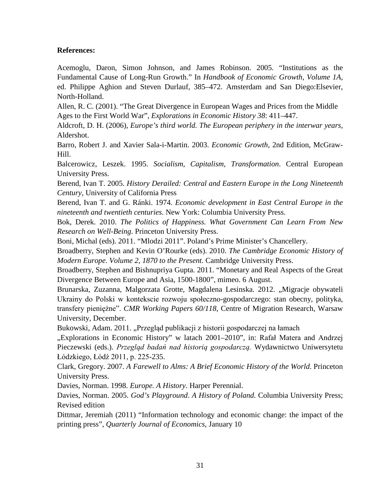#### **References:**

Acemoglu, Daron, Simon Johnson, and James Robinson. 2005. "Institutions as the Fundamental Cause of Long-Run Growth." In *Handbook of Economic Growth, Volume 1A*, ed. Philippe Aghion and Steven Durlauf, 385–472. Amsterdam and San Diego:Elsevier, North-Holland.

Allen, R. C. (2001). "The Great Divergence in European Wages and Prices from the Middle Ages to the First World War", *Explorations in Economic History 38*: 411–447.

Aldcroft, D. H. (2006), *Europe's third world. The European periphery in the interwar years*, Aldershot.

Barro, Robert J. and Xavier Sala-i-Martin. 2003. *Economic Growth*, 2nd Edition, McGraw-Hill.

Balcerowicz, Leszek. 1995. *Socialism, Capitalism, Transformation*. Central European University Press.

Berend, Ivan T. 2005. *History Derailed: Central and Eastern Europe in the Long Nineteenth Century*, University of California Press

Berend, Ivan T. and G. Ránki. 1974. *Economic development in East Central Europe in the nineteenth and twentieth centuries*. New York: Columbia University Press.

Bok, Derek. 2010. *The Politics of Happiness. What Government Can Learn From New Research on Well-Being*. Princeton University Press.

Boni, Michal (eds). 2011. "Mlodzi 2011". Poland's Prime Minister's Chancellery.

Broadberry, Stephen and Kevin O'Rourke (eds). 2010. *The Cambridge Economic History of Modern Europe*. *Volume 2, 1870 to the Present.* Cambridge University Press.

Broadberry, Stephen and Bishnupriya Gupta. 2011. "Monetary and Real Aspects of the Great Divergence Between Europe and Asia, 1500-1800", mimeo. 6 August.

Brunarska, Zuzanna, Malgorzata Grotte, Magdalena Lesinska. 2012. "Migracje obywateli Ukrainy do Polski w kontekscie rozwoju społeczno-gospodarczego: stan obecny, polityka, transfery pieniężne". *CMR Working Papers 60/118*, Centre of Migration Research, Warsaw University, December.

Bukowski, Adam. 2011. "Przegląd publikacji z historii gospodarczej na łamach

"Explorations in Economic History" w latach 2001–2010", in: Rafał Matera and Andrzej Pieczewski (eds.). *Przegląd badań nad historią gospodarczą.* Wydawnictwo Uniwersytetu Łódzkiego, Łódź 2011, p. 225-235.

Clark, Gregory. 2007. *A Farewell to Alms: A Brief Economic History of the World*. Princeton University Press.

Davies, Norman. 1998. *Europe. A History*. Harper Perennial.

Davies, Norman. 2005. *God's Playground*. *A History of Poland.* Columbia University Press; Revised edition

Dittmar, Jeremiah (2011) "Information technology and economic change: the impact of the printing press", *Quarterly Journal of Economics*, January 10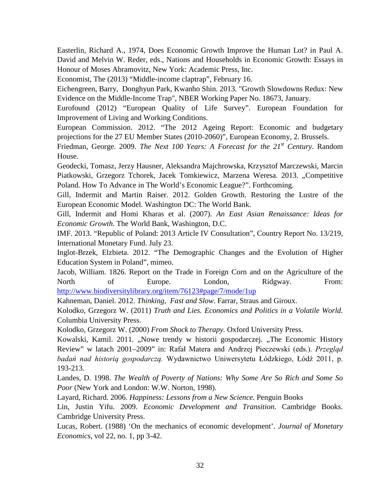Easterlin, Richard A., 1974, Does Economic Growth Improve the Human Lot? in Paul A. David and Melvin W. Reder, eds., Nations and Households in Economic Growth: Essays in Honour of Moses Abramovitz, New York: Academic Press, Inc.

Economist, The (2013) "Middle-income claptrap", February 16.

Eichengreen, Barry, Donghyun Park, Kwanho Shin. 2013. ["Growth Slowdowns Redux: New](http://www.nber.org/papers/w18673) [Evidence on the Middle-Income](http://www.nber.org/papers/w18673) Trap", NBER Working Paper No. 18673, January.

Eurofound (2012) "European Quality of Life Survey". European Foundation for Improvement of Living and Working Conditions.

European Commission. 2012. "The 2012 Ageing Report: Economic and budgetary projections for the 27 EU Member States (2010-2060)", European Economy, 2. Brussels.

Friedman, George. 2009. *The Next 100 Years: A Forecast for the 21st Century*. Random House.

Geodecki, Tomasz, Jerzy Hausner, Aleksandra Majchrowska, Krzysztof Marczewski, Marcin Piatkowski, Grzegorz Tchorek, Jacek Tomkiewicz, Marzena Weresa. 2013. "Competitive Poland. How To Advance in The World's Economic League?". Forthcoming.

Gill, Indermit and Martin Raiser. 2012. Golden Growth. Restoring the Lustre of the European Economic Model. Washington DC: The World Bank.

Gill, Indermit and Homi Kharas et al. (2007). *An East Asian Renaissance: Ideas for Economic Growth*. The World Bank, Washington, D.C.

IMF. 2013. "Republic of Poland: 2013 Article IV Consultation", Country Report No. 13/219, International Monetary Fund. July 23.

Inglot-Brzek, Elzbieta. 2012. "The Demographic Changes and the Evolution of Higher Education System in Poland", mimeo.

Jacob, William. 1826. Report on the Trade in Foreign Corn and on the Agriculture of the North of Europe. London, Ridgway. From: <http://www.biodiversitylibrary.org/item/76123#page/7/mode/1up>

Kahneman, Daniel. 2012. *Thinking, Fast and Slow*. Farrar, Straus and Giroux.

Kolodko, Grzegorz W. (2011) *Truth and Lies. Economics and Politics in a Volatile World.*  Columbia University Press.

Kolodko, Grzegorz W. (2000) *From Shock to Therapy.* Oxford University Press.

Kowalski, Kamil. 2011. "Nowe trendy w historii gospodarczej. "The Economic History Review" w latach 2001–2009" in: Rafał Matera and Andrzej Pieczewski (eds.). *Przegląd badań nad historią gospodarczą.* Wydawnictwo Uniwersytetu Łódzkiego, Łódź 2011, p. 193-213.

Landes, D. 1998. *The Wealth of Poverty of Nations: Why Some Are So Rich and Some So Poor* (New York and London: W.W. Norton, 1998).

Layard, Richard. 2006. *Happiness: Lessons from a New Science.* Penguin Books

Lin, Justin Yifu. 2009. *Economic Development and Transition*. Cambridge Books. Cambridge University Press.

Lucas, Robert. (1988) 'On the mechanics of economic development'. *Journal of Monetary Economics*, vol 22, no. 1, pp 3-42.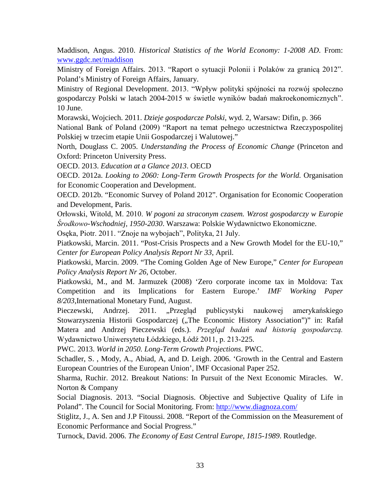Maddison, Angus. 2010. *Historical Statistics of the World Economy: 1-2008 AD*. From: [www.ggdc.net/maddison](http://www.ggdc.net/maddison)

Ministry of Foreign Affairs. 2013. "Raport o sytuacji Polonii i Polaków za granicą 2012". Poland's Ministry of Foreign Affairs, January.

Ministry of Regional Development. 2013. "Wpływ polityki spójności na rozwój społeczno gospodarczy Polski w latach 2004-2015 w świetle wyników badań makroekonomicznych". 10 June.

Morawski, Wojciech. 2011. *Dzieje gospodarcze Polski*, wyd. 2, Warsaw: Difin, p. 366

National Bank of Poland (2009) "Raport na temat pełnego uczestnictwa Rzeczypospolitej Polskiej w trzecim etapie Unii Gospodarczej i Walutowej."

North, Douglass C. 2005. *Understanding the Process of Economic Change* (Princeton and Oxford: Princeton University Press.

OECD. 2013. *Education at a Glance 2013*. OECD

OECD. 2012a. *Looking to 2060: Long-Term Growth Prospects for the World.* Organisation for Economic Cooperation and Development.

OECD. 2012b. "Economic Survey of Poland 2012". Organisation for Economic Cooperation and Development, Paris.

Orłowski, Witold, M. 2010. *W pogoni za straconym czasem. Wzrost gospodarczy w Europie Środkowo-Wschodniej, 1950-2030*. Warszawa: Polskie Wydawnictwo Ekonomiczne.

Osęka, Piotr. 2011. "Znoje na wybojach", Polityka, 21 July.

Piatkowski, Marcin. 2011. "Post-Crisis Prospects and a New Growth Model for the EU-10," *Center for European Policy Analysis Report Nr 33*, April.

Piatkowski, Marcin. 2009. "The Coming Golden Age of New Europe," *Center for European Policy Analysis Report Nr 26*, October.

Piatkowski, M., and M. Jarmuzek (2008) 'Zero corporate income tax in Moldova: Tax Competition and its Implications for Eastern Europe.' *IMF Working Paper 8/203*,International Monetary Fund, August.

Pieczewski, Andrzej. 2011. "Przegląd publicystyki naukowej amerykańskiego Stowarzyszenia Historii Gospodarczej ("The Economic History Association")" in: Rafał Matera and Andrzej Pieczewski (eds.). *Przegląd badań nad historią gospodarczą.*  Wydawnictwo Uniwersytetu Łódzkiego, Łódź 2011, p. 213-225.

PWC. 2013. *World in 2050. Long-Term Growth Projections*. PWC.

Schadler, S. , Mody, A., Abiad, A, and D. Leigh. 2006. 'Growth in the Central and Eastern European Countries of the European Union', IMF Occasional Paper 252.

Sharma, Ruchir. 2012. Breakout Nations: In Pursuit of the Next Economic Miracles. W. Norton & Company

Social Diagnosis. 2013. "Social Diagnosis. Objective and Subjective Quality of Life in Poland". The Council for Social Monitoring. From:<http://www.diagnoza.com/>

Stiglitz, J., A. Sen and J.P Fitoussi. 2008. "Report of the Commission on the Measurement of Economic Performance and Social Progress."

Turnock, David. 2006. *The Economy of East Central Europe, 1815-1989*. Routledge.